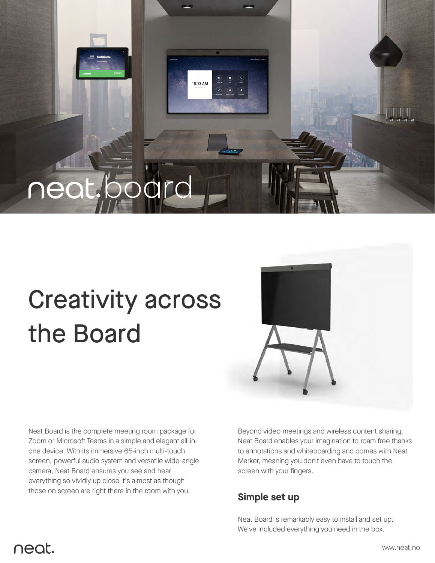

# Creativity across the Board

Neat Board is the complete meeting room package for Zoom or Microsoft Teams in a simple and elegant all-inone device. With its immersive 65-inch multi-touch screen, powerful audio system and versatile wide-angle camera, Neat Board ensures you see and hear everything so vividly up close it's almost as though those on screen are right there in the room with you.



Beyond video meetings and wireless content sharing, Neat Board enables your imagination to roam free thanks to annotations and whiteboarding and comes with Neat Marker, meaning you don't even have to touch the screen with your fingers.

#### **Simple set up**

Neat Board is remarkably easy to install and set up. We've included everything you need in the box.

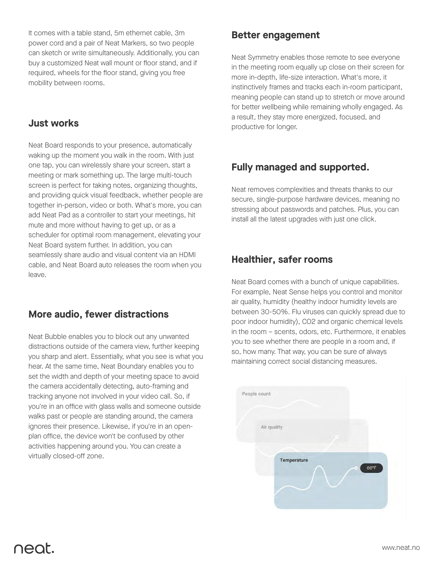It comes with a table stand, 5m ethernet cable, 3m power cord and a pair of Neat Markers, so two people can sketch or write simultaneously. Additionally, you can buy a customized Neat wall mount or floor stand, and if required, wheels for the floor stand, giving you free mobility between rooms.

#### **Just works**

Neat Board responds to your presence, automatically waking up the moment you walk in the room. With just one tap, you can wirelessly share your screen, start a meeting or mark something up. The large multi-touch screen is perfect for taking notes, organizing thoughts, and providing quick visual feedback, whether people are together in-person, video or both. What's more, you can add Neat Pad as a controller to start your meetings, hit mute and more without having to get up, or as a scheduler for optimal room management, elevating your Neat Board system further. In addition, you can seamlessly share audio and visual content via an HDMI cable, and Neat Board auto releases the room when you leave.

## **More audio, fewer distractions**

Neat Bubble enables you to block out any unwanted distractions outside of the camera view, further keeping you sharp and alert. Essentially, what you see is what you hear. At the same time, Neat Boundary enables you to set the width and depth of your meeting space to avoid the camera accidentally detecting, auto-framing and tracking anyone not involved in your video call. So, if you're in an office with glass walls and someone outside walks past or people are standing around, the camera ignores their presence. Likewise, if you're in an openplan office, the device won't be confused by other activities happening around you. You can create a virtually closed-off zone.

#### **Better engagement**

Neat Symmetry enables those remote to see everyone in the meeting room equally up close on their screen for more in-depth, life-size interaction. What's more, it instinctively frames and tracks each in-room participant, meaning people can stand up to stretch or move around for better wellbeing while remaining wholly engaged. As a result, they stay more energized, focused, and productive for longer.

# **Fully managed and supported.**

Neat removes complexities and threats thanks to our secure, single-purpose hardware devices, meaning no stressing about passwords and patches. Plus, you can install all the latest upgrades with just one click.

#### **Healthier, safer rooms**

Neat Board comes with a bunch of unique capabilities. For example, Neat Sense helps you control and monitor air quality, humidity (healthy indoor humidity levels are between 30-50%. Flu viruses can quickly spread due to poor indoor humidity), CO2 and organic chemical levels in the room – scents, odors, etc. Furthermore, it enables you to see whether there are people in a room and, if so, how many. That way, you can be sure of always maintaining correct social distancing measures.